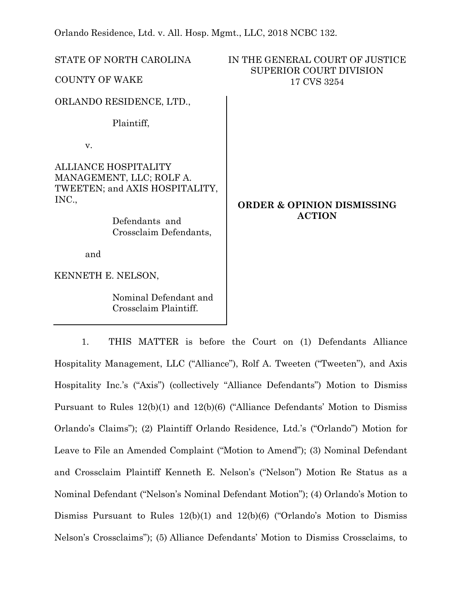Orlando Residence, Ltd. v. All. Hosp. Mgmt., LLC, 2018 NCBC 132.

| STATE OF NORTH CAROLINA                                                                            | IN THE GENERAL COURT OF JUSTICE<br><b>SUPERIOR COURT DIVISION</b> |
|----------------------------------------------------------------------------------------------------|-------------------------------------------------------------------|
| <b>COUNTY OF WAKE</b>                                                                              | 17 CVS 3254                                                       |
| ORLANDO RESIDENCE, LTD.,                                                                           |                                                                   |
| Plaintiff,                                                                                         |                                                                   |
| V.                                                                                                 |                                                                   |
| <b>ALLIANCE HOSPITALITY</b><br>MANAGEMENT, LLC; ROLF A.<br>TWEETEN; and AXIS HOSPITALITY,<br>INC., | <b>ORDER &amp; OPINION DISMISSING</b><br><b>ACTION</b>            |
| Defendants and<br>Crossclaim Defendants,                                                           |                                                                   |
| and                                                                                                |                                                                   |
| KENNETH E. NELSON,                                                                                 |                                                                   |
| Nominal Defendant and<br>Crossclaim Plaintiff.                                                     |                                                                   |

1. THIS MATTER is before the Court on (1) Defendants Alliance Hospitality Management, LLC ("Alliance"), Rolf A. Tweeten ("Tweeten"), and Axis Hospitality Inc.'s ("Axis") (collectively "Alliance Defendants") Motion to Dismiss Pursuant to Rules 12(b)(1) and 12(b)(6) ("Alliance Defendants' Motion to Dismiss Orlando's Claims"); (2) Plaintiff Orlando Residence, Ltd.'s ("Orlando") Motion for Leave to File an Amended Complaint ("Motion to Amend"); (3) Nominal Defendant and Crossclaim Plaintiff Kenneth E. Nelson's ("Nelson") Motion Re Status as a Nominal Defendant ("Nelson's Nominal Defendant Motion"); (4) Orlando's Motion to Dismiss Pursuant to Rules 12(b)(1) and 12(b)(6) ("Orlando's Motion to Dismiss Nelson's Crossclaims"); (5) Alliance Defendants' Motion to Dismiss Crossclaims, to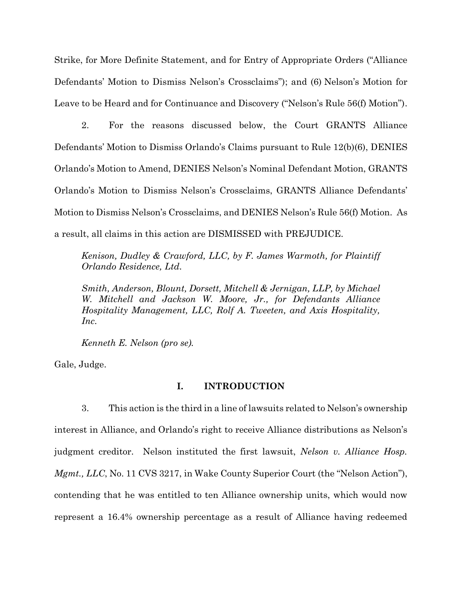Strike, for More Definite Statement, and for Entry of Appropriate Orders ("Alliance Defendants' Motion to Dismiss Nelson's Crossclaims"); and (6) Nelson's Motion for Leave to be Heard and for Continuance and Discovery ("Nelson's Rule 56(f) Motion").

2. For the reasons discussed below, the Court GRANTS Alliance Defendants' Motion to Dismiss Orlando's Claims pursuant to Rule 12(b)(6), DENIES Orlando's Motion to Amend, DENIES Nelson's Nominal Defendant Motion, GRANTS Orlando's Motion to Dismiss Nelson's Crossclaims, GRANTS Alliance Defendants' Motion to Dismiss Nelson's Crossclaims, and DENIES Nelson's Rule 56(f) Motion. As a result, all claims in this action are DISMISSED with PREJUDICE.

*Kenison, Dudley & Crawford, LLC, by F. James Warmoth, for Plaintiff Orlando Residence, Ltd.* 

*Smith, Anderson, Blount, Dorsett, Mitchell & Jernigan, LLP, by Michael W. Mitchell and Jackson W. Moore, Jr., for Defendants Alliance Hospitality Management, LLC, Rolf A. Tweeten, and Axis Hospitality, Inc.* 

*Kenneth E. Nelson (pro se).* 

Gale, Judge.

## **I. INTRODUCTION**

3. This action is the third in a line of lawsuits related to Nelson's ownership interest in Alliance, and Orlando's right to receive Alliance distributions as Nelson's judgment creditor. Nelson instituted the first lawsuit, *Nelson v. Alliance Hosp. Mgmt., LLC*, No. 11 CVS 3217, in Wake County Superior Court (the "Nelson Action"), contending that he was entitled to ten Alliance ownership units, which would now represent a 16.4% ownership percentage as a result of Alliance having redeemed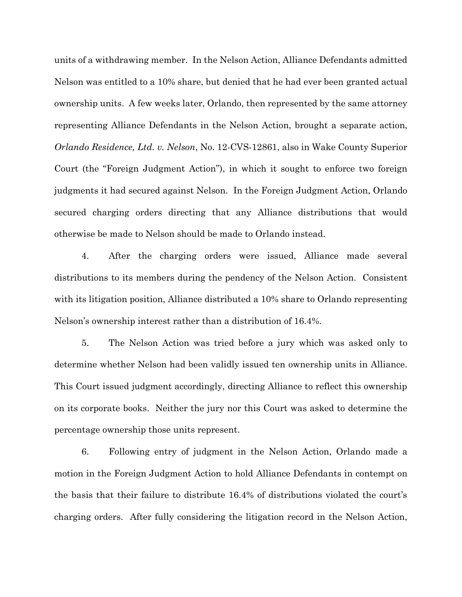units of a withdrawing member. In the Nelson Action, Alliance Defendants admitted Nelson was entitled to a 10% share, but denied that he had ever been granted actual ownership units. A few weeks later, Orlando, then represented by the same attorney representing Alliance Defendants in the Nelson Action, brought a separate action, *Orlando Residence, Ltd. v. Nelson*, No. 12-CVS-12861, also in Wake County Superior Court (the "Foreign Judgment Action"), in which it sought to enforce two foreign judgments it had secured against Nelson. In the Foreign Judgment Action, Orlando secured charging orders directing that any Alliance distributions that would otherwise be made to Nelson should be made to Orlando instead.

4. After the charging orders were issued, Alliance made several distributions to its members during the pendency of the Nelson Action. Consistent with its litigation position, Alliance distributed a 10% share to Orlando representing Nelson's ownership interest rather than a distribution of 16.4%.

5. The Nelson Action was tried before a jury which was asked only to determine whether Nelson had been validly issued ten ownership units in Alliance. This Court issued judgment accordingly, directing Alliance to reflect this ownership on its corporate books. Neither the jury nor this Court was asked to determine the percentage ownership those units represent.

6. Following entry of judgment in the Nelson Action, Orlando made a motion in the Foreign Judgment Action to hold Alliance Defendants in contempt on the basis that their failure to distribute 16.4% of distributions violated the court's charging orders. After fully considering the litigation record in the Nelson Action,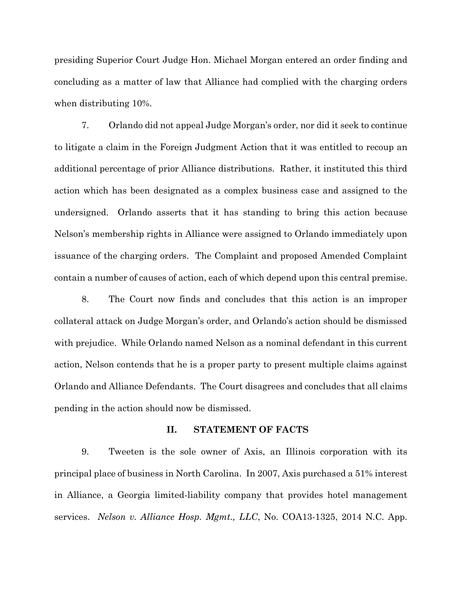presiding Superior Court Judge Hon. Michael Morgan entered an order finding and concluding as a matter of law that Alliance had complied with the charging orders when distributing 10%.

7. Orlando did not appeal Judge Morgan's order, nor did it seek to continue to litigate a claim in the Foreign Judgment Action that it was entitled to recoup an additional percentage of prior Alliance distributions. Rather, it instituted this third action which has been designated as a complex business case and assigned to the undersigned. Orlando asserts that it has standing to bring this action because Nelson's membership rights in Alliance were assigned to Orlando immediately upon issuance of the charging orders. The Complaint and proposed Amended Complaint contain a number of causes of action, each of which depend upon this central premise.

8. The Court now finds and concludes that this action is an improper collateral attack on Judge Morgan's order, and Orlando's action should be dismissed with prejudice. While Orlando named Nelson as a nominal defendant in this current action, Nelson contends that he is a proper party to present multiple claims against Orlando and Alliance Defendants. The Court disagrees and concludes that all claims pending in the action should now be dismissed.

#### **II. STATEMENT OF FACTS**

9. Tweeten is the sole owner of Axis, an Illinois corporation with its principal place of business in North Carolina. In 2007, Axis purchased a 51% interest in Alliance, a Georgia limited-liability company that provides hotel management services. *Nelson v. Alliance Hosp. Mgmt., LLC*, No. COA13-1325, 2014 N.C. App.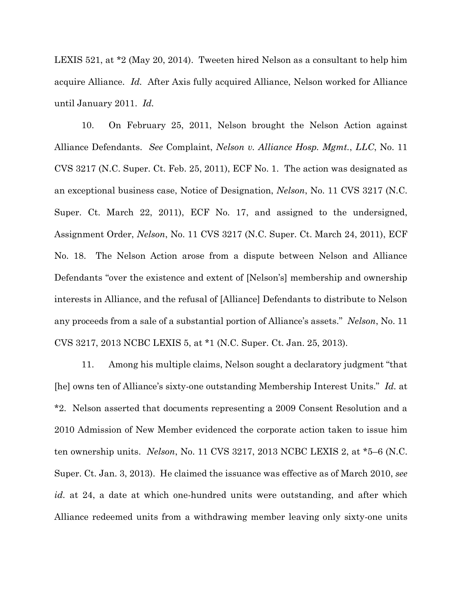LEXIS 521, at \*2 (May 20, 2014). Tweeten hired Nelson as a consultant to help him acquire Alliance. *Id.* After Axis fully acquired Alliance, Nelson worked for Alliance until January 2011. *Id.*

10. On February 25, 2011, Nelson brought the Nelson Action against Alliance Defendants. *See* Complaint, *Nelson v. Alliance Hosp. Mgmt.*, *LLC*, No. 11 CVS 3217 (N.C. Super. Ct. Feb. 25, 2011), ECF No. 1. The action was designated as an exceptional business case, Notice of Designation, *Nelson*, No. 11 CVS 3217 (N.C. Super. Ct. March 22, 2011), ECF No. 17, and assigned to the undersigned, Assignment Order, *Nelson*, No. 11 CVS 3217 (N.C. Super. Ct. March 24, 2011), ECF No. 18. The Nelson Action arose from a dispute between Nelson and Alliance Defendants "over the existence and extent of [Nelson's] membership and ownership interests in Alliance, and the refusal of [Alliance] Defendants to distribute to Nelson any proceeds from a sale of a substantial portion of Alliance's assets." *Nelson*, No. 11 CVS 3217, 2013 NCBC LEXIS 5, at \*1 (N.C. Super. Ct. Jan. 25, 2013).

11. Among his multiple claims, Nelson sought a declaratory judgment "that [he] owns ten of Alliance's sixty-one outstanding Membership Interest Units." *Id.* at \*2. Nelson asserted that documents representing a 2009 Consent Resolution and a 2010 Admission of New Member evidenced the corporate action taken to issue him ten ownership units. *Nelson*, No. 11 CVS 3217, 2013 NCBC LEXIS 2, at \*5–6 (N.C. Super. Ct. Jan. 3, 2013). He claimed the issuance was effective as of March 2010, *see id.* at 24, a date at which one-hundred units were outstanding, and after which Alliance redeemed units from a withdrawing member leaving only sixty-one units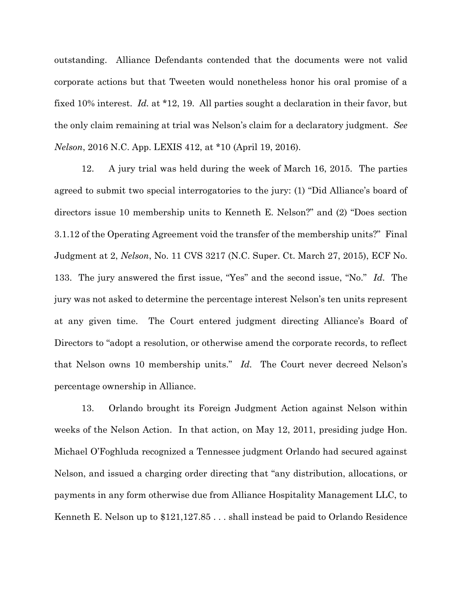outstanding. Alliance Defendants contended that the documents were not valid corporate actions but that Tweeten would nonetheless honor his oral promise of a fixed 10% interest. *Id.* at \*12, 19. All parties sought a declaration in their favor, but the only claim remaining at trial was Nelson's claim for a declaratory judgment. *See Nelson*, 2016 N.C. App. LEXIS 412, at \*10 (April 19, 2016).

12. A jury trial was held during the week of March 16, 2015. The parties agreed to submit two special interrogatories to the jury: (1) "Did Alliance's board of directors issue 10 membership units to Kenneth E. Nelson?" and (2) "Does section 3.1.12 of the Operating Agreement void the transfer of the membership units?" Final Judgment at 2, *Nelson*, No. 11 CVS 3217 (N.C. Super. Ct. March 27, 2015), ECF No. 133. The jury answered the first issue, "Yes" and the second issue, "No." *Id*. The jury was not asked to determine the percentage interest Nelson's ten units represent at any given time. The Court entered judgment directing Alliance's Board of Directors to "adopt a resolution, or otherwise amend the corporate records, to reflect that Nelson owns 10 membership units." *Id.* The Court never decreed Nelson's percentage ownership in Alliance.

13. Orlando brought its Foreign Judgment Action against Nelson within weeks of the Nelson Action. In that action, on May 12, 2011, presiding judge Hon. Michael O'Foghluda recognized a Tennessee judgment Orlando had secured against Nelson, and issued a charging order directing that "any distribution, allocations, or payments in any form otherwise due from Alliance Hospitality Management LLC, to Kenneth E. Nelson up to \$121,127.85 . . . shall instead be paid to Orlando Residence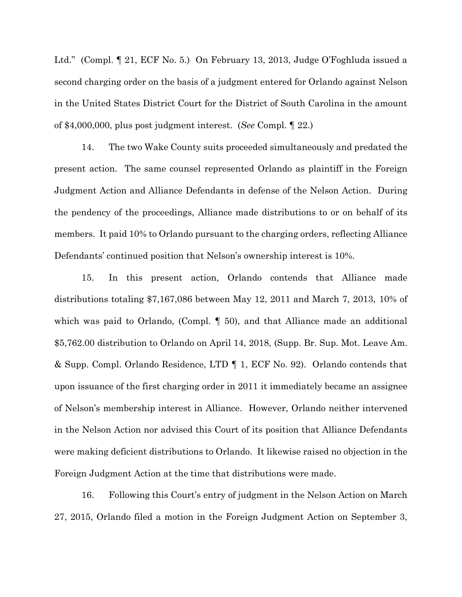Ltd." (Compl. ¶ 21, ECF No. 5.) On February 13, 2013, Judge O'Foghluda issued a second charging order on the basis of a judgment entered for Orlando against Nelson in the United States District Court for the District of South Carolina in the amount of \$4,000,000, plus post judgment interest. (*See* Compl. ¶ 22.)

14. The two Wake County suits proceeded simultaneously and predated the present action. The same counsel represented Orlando as plaintiff in the Foreign Judgment Action and Alliance Defendants in defense of the Nelson Action. During the pendency of the proceedings, Alliance made distributions to or on behalf of its members. It paid 10% to Orlando pursuant to the charging orders, reflecting Alliance Defendants' continued position that Nelson's ownership interest is 10%.

15. In this present action, Orlando contends that Alliance made distributions totaling \$7,167,086 between May 12, 2011 and March 7, 2013, 10% of which was paid to Orlando, (Compl.  $\llbracket$  50), and that Alliance made an additional \$5,762.00 distribution to Orlando on April 14, 2018, (Supp. Br. Sup. Mot. Leave Am. & Supp. Compl. Orlando Residence, LTD ¶ 1, ECF No. 92). Orlando contends that upon issuance of the first charging order in 2011 it immediately became an assignee of Nelson's membership interest in Alliance. However, Orlando neither intervened in the Nelson Action nor advised this Court of its position that Alliance Defendants were making deficient distributions to Orlando. It likewise raised no objection in the Foreign Judgment Action at the time that distributions were made.

16. Following this Court's entry of judgment in the Nelson Action on March 27, 2015, Orlando filed a motion in the Foreign Judgment Action on September 3,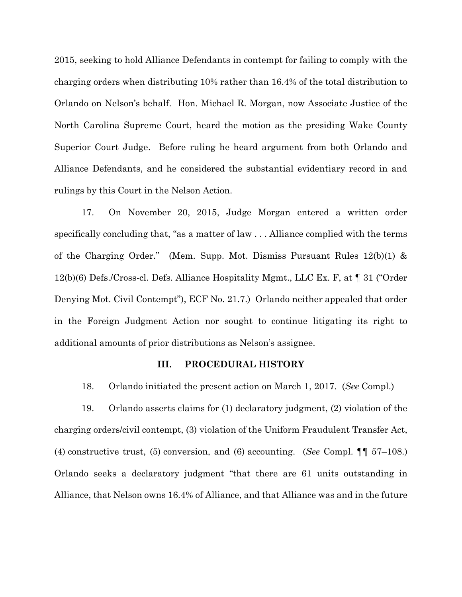2015, seeking to hold Alliance Defendants in contempt for failing to comply with the charging orders when distributing 10% rather than 16.4% of the total distribution to Orlando on Nelson's behalf. Hon. Michael R. Morgan, now Associate Justice of the North Carolina Supreme Court, heard the motion as the presiding Wake County Superior Court Judge. Before ruling he heard argument from both Orlando and Alliance Defendants, and he considered the substantial evidentiary record in and rulings by this Court in the Nelson Action.

17. On November 20, 2015, Judge Morgan entered a written order specifically concluding that, "as a matter of law . . . Alliance complied with the terms of the Charging Order." (Mem. Supp. Mot. Dismiss Pursuant Rules 12(b)(1) & 12(b)(6) Defs./Cross-cl. Defs. Alliance Hospitality Mgmt., LLC Ex. F, at ¶ 31 ("Order Denying Mot. Civil Contempt"), ECF No. 21.7.) Orlando neither appealed that order in the Foreign Judgment Action nor sought to continue litigating its right to additional amounts of prior distributions as Nelson's assignee.

### **III. PROCEDURAL HISTORY**

18. Orlando initiated the present action on March 1, 2017. (*See* Compl.)

19. Orlando asserts claims for (1) declaratory judgment, (2) violation of the charging orders/civil contempt, (3) violation of the Uniform Fraudulent Transfer Act, (4) constructive trust, (5) conversion, and (6) accounting. (*See* Compl. ¶¶ 57–108.) Orlando seeks a declaratory judgment "that there are 61 units outstanding in Alliance, that Nelson owns 16.4% of Alliance, and that Alliance was and in the future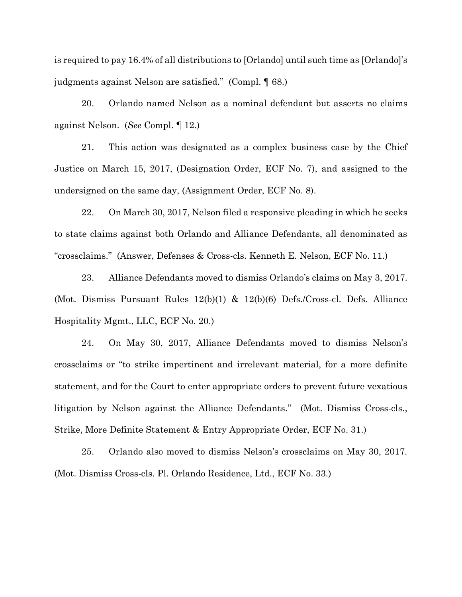is required to pay 16.4% of all distributions to [Orlando] until such time as [Orlando]'s judgments against Nelson are satisfied." (Compl. ¶ 68.)

20. Orlando named Nelson as a nominal defendant but asserts no claims against Nelson. (*See* Compl. ¶ 12.)

21. This action was designated as a complex business case by the Chief Justice on March 15, 2017, (Designation Order, ECF No. 7), and assigned to the undersigned on the same day, (Assignment Order, ECF No. 8).

22. On March 30, 2017, Nelson filed a responsive pleading in which he seeks to state claims against both Orlando and Alliance Defendants, all denominated as "crossclaims." (Answer, Defenses & Cross-cls. Kenneth E. Nelson, ECF No. 11.)

23. Alliance Defendants moved to dismiss Orlando's claims on May 3, 2017. (Mot. Dismiss Pursuant Rules 12(b)(1) & 12(b)(6) Defs./Cross-cl. Defs. Alliance Hospitality Mgmt., LLC, ECF No. 20.)

24. On May 30, 2017, Alliance Defendants moved to dismiss Nelson's crossclaims or "to strike impertinent and irrelevant material, for a more definite statement, and for the Court to enter appropriate orders to prevent future vexatious litigation by Nelson against the Alliance Defendants." (Mot. Dismiss Cross-cls., Strike, More Definite Statement & Entry Appropriate Order, ECF No. 31.)

25. Orlando also moved to dismiss Nelson's crossclaims on May 30, 2017. (Mot. Dismiss Cross-cls. Pl. Orlando Residence, Ltd., ECF No. 33.)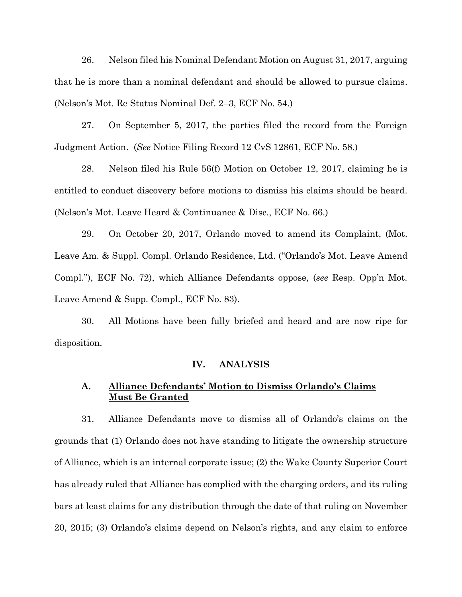26. Nelson filed his Nominal Defendant Motion on August 31, 2017, arguing that he is more than a nominal defendant and should be allowed to pursue claims. (Nelson's Mot. Re Status Nominal Def. 2–3, ECF No. 54.)

27. On September 5, 2017, the parties filed the record from the Foreign Judgment Action. (*See* Notice Filing Record 12 CvS 12861, ECF No. 58.)

28. Nelson filed his Rule 56(f) Motion on October 12, 2017, claiming he is entitled to conduct discovery before motions to dismiss his claims should be heard. (Nelson's Mot. Leave Heard & Continuance & Disc., ECF No. 66.)

29. On October 20, 2017, Orlando moved to amend its Complaint, (Mot. Leave Am. & Suppl. Compl. Orlando Residence, Ltd. ("Orlando's Mot. Leave Amend Compl."), ECF No. 72), which Alliance Defendants oppose, (*see* Resp. Opp'n Mot. Leave Amend & Supp. Compl., ECF No. 83).

30. All Motions have been fully briefed and heard and are now ripe for disposition.

### **IV. ANALYSIS**

# **A. Alliance Defendants' Motion to Dismiss Orlando's Claims Must Be Granted**

31. Alliance Defendants move to dismiss all of Orlando's claims on the grounds that (1) Orlando does not have standing to litigate the ownership structure of Alliance, which is an internal corporate issue; (2) the Wake County Superior Court has already ruled that Alliance has complied with the charging orders, and its ruling bars at least claims for any distribution through the date of that ruling on November 20, 2015; (3) Orlando's claims depend on Nelson's rights, and any claim to enforce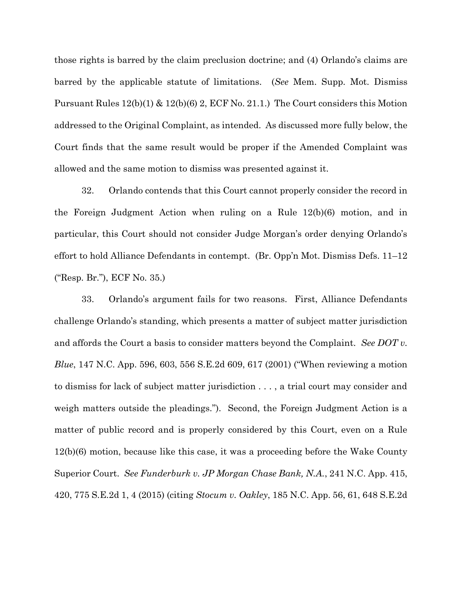those rights is barred by the claim preclusion doctrine; and (4) Orlando's claims are barred by the applicable statute of limitations. (*See* Mem. Supp. Mot. Dismiss Pursuant Rules  $12(b)(1) \& 12(b)(6) 2$ , ECF No. 21.1.) The Court considers this Motion addressed to the Original Complaint, as intended. As discussed more fully below, the Court finds that the same result would be proper if the Amended Complaint was allowed and the same motion to dismiss was presented against it.

32. Orlando contends that this Court cannot properly consider the record in the Foreign Judgment Action when ruling on a Rule 12(b)(6) motion, and in particular, this Court should not consider Judge Morgan's order denying Orlando's effort to hold Alliance Defendants in contempt. (Br. Opp'n Mot. Dismiss Defs. 11–12 ("Resp. Br."), ECF No. 35.)

33. Orlando's argument fails for two reasons. First, Alliance Defendants challenge Orlando's standing, which presents a matter of subject matter jurisdiction and affords the Court a basis to consider matters beyond the Complaint. *See DOT v. Blue*, 147 N.C. App. 596, 603, 556 S.E.2d 609, 617 (2001) ("When reviewing a motion to dismiss for lack of subject matter jurisdiction . . . , a trial court may consider and weigh matters outside the pleadings."). Second, the Foreign Judgment Action is a matter of public record and is properly considered by this Court, even on a Rule 12(b)(6) motion, because like this case, it was a proceeding before the Wake County Superior Court. *See Funderburk v. JP Morgan Chase Bank, N.A.*, 241 N.C. App. 415, 420, 775 S.E.2d 1, 4 (2015) (citing *Stocum v. Oakley*, 185 N.C. App. 56, 61, 648 S.E.2d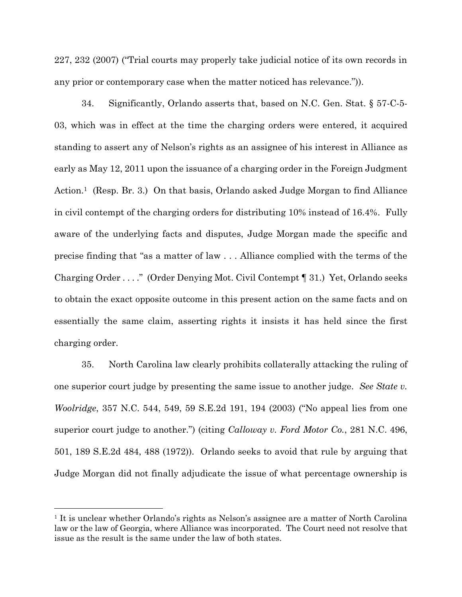227, 232 (2007) ("Trial courts may properly take judicial notice of its own records in any prior or contemporary case when the matter noticed has relevance.")).

34. Significantly, Orlando asserts that, based on N.C. Gen. Stat. § 57-C-5- 03, which was in effect at the time the charging orders were entered, it acquired standing to assert any of Nelson's rights as an assignee of his interest in Alliance as early as May 12, 2011 upon the issuance of a charging order in the Foreign Judgment Action. <sup>1</sup> (Resp. Br. 3.) On that basis, Orlando asked Judge Morgan to find Alliance in civil contempt of the charging orders for distributing 10% instead of 16.4%. Fully aware of the underlying facts and disputes, Judge Morgan made the specific and precise finding that "as a matter of law . . . Alliance complied with the terms of the Charging Order . . . ." (Order Denying Mot. Civil Contempt ¶ 31.) Yet, Orlando seeks to obtain the exact opposite outcome in this present action on the same facts and on essentially the same claim, asserting rights it insists it has held since the first charging order.

35. North Carolina law clearly prohibits collaterally attacking the ruling of one superior court judge by presenting the same issue to another judge. *See State v. Woolridge*, 357 N.C. 544, 549, 59 S.E.2d 191, 194 (2003) ("No appeal lies from one superior court judge to another.") (citing *Calloway v. Ford Motor Co.*, 281 N.C. 496, 501, 189 S.E.2d 484, 488 (1972)). Orlando seeks to avoid that rule by arguing that Judge Morgan did not finally adjudicate the issue of what percentage ownership is

 $\overline{a}$ 

<sup>&</sup>lt;sup>1</sup> It is unclear whether Orlando's rights as Nelson's assignee are a matter of North Carolina law or the law of Georgia, where Alliance was incorporated. The Court need not resolve that issue as the result is the same under the law of both states.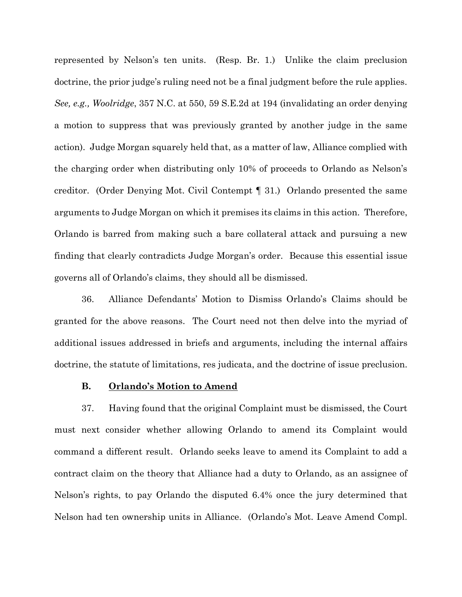represented by Nelson's ten units. (Resp. Br. 1.) Unlike the claim preclusion doctrine, the prior judge's ruling need not be a final judgment before the rule applies. *See, e.g., Woolridge*, 357 N.C. at 550, 59 S.E.2d at 194 (invalidating an order denying a motion to suppress that was previously granted by another judge in the same action). Judge Morgan squarely held that, as a matter of law, Alliance complied with the charging order when distributing only 10% of proceeds to Orlando as Nelson's creditor. (Order Denying Mot. Civil Contempt ¶ 31.) Orlando presented the same arguments to Judge Morgan on which it premises its claims in this action. Therefore, Orlando is barred from making such a bare collateral attack and pursuing a new finding that clearly contradicts Judge Morgan's order. Because this essential issue governs all of Orlando's claims, they should all be dismissed.

36. Alliance Defendants' Motion to Dismiss Orlando's Claims should be granted for the above reasons. The Court need not then delve into the myriad of additional issues addressed in briefs and arguments, including the internal affairs doctrine, the statute of limitations, res judicata, and the doctrine of issue preclusion.

## **B. Orlando's Motion to Amend**

37. Having found that the original Complaint must be dismissed, the Court must next consider whether allowing Orlando to amend its Complaint would command a different result. Orlando seeks leave to amend its Complaint to add a contract claim on the theory that Alliance had a duty to Orlando, as an assignee of Nelson's rights, to pay Orlando the disputed 6.4% once the jury determined that Nelson had ten ownership units in Alliance. (Orlando's Mot. Leave Amend Compl.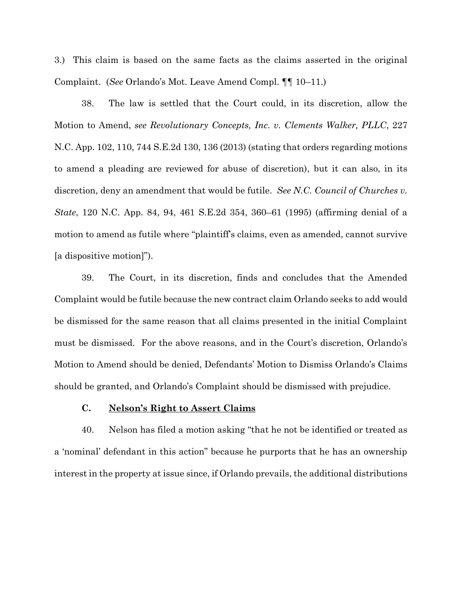3.) This claim is based on the same facts as the claims asserted in the original Complaint. (*See* Orlando's Mot. Leave Amend Compl. ¶¶ 10–11.)

38. The law is settled that the Court could, in its discretion, allow the Motion to Amend, *see Revolutionary Concepts, Inc. v. Clements Walker, PLLC*, 227 N.C. App. 102, 110, 744 S.E.2d 130, 136 (2013) (stating that orders regarding motions to amend a pleading are reviewed for abuse of discretion), but it can also, in its discretion, deny an amendment that would be futile. *See N.C. Council of Churches v. State*, 120 N.C. App. 84, 94, 461 S.E.2d 354, 360–61 (1995) (affirming denial of a motion to amend as futile where "plaintiff's claims, even as amended, cannot survive [a dispositive motion]").

39. The Court, in its discretion, finds and concludes that the Amended Complaint would be futile because the new contract claim Orlando seeks to add would be dismissed for the same reason that all claims presented in the initial Complaint must be dismissed.For the above reasons, and in the Court's discretion, Orlando's Motion to Amend should be denied, Defendants' Motion to Dismiss Orlando's Claims should be granted, and Orlando's Complaint should be dismissed with prejudice.

### **C. Nelson's Right to Assert Claims**

40. Nelson has filed a motion asking "that he not be identified or treated as a 'nominal' defendant in this action" because he purports that he has an ownership interest in the property at issue since, if Orlando prevails, the additional distributions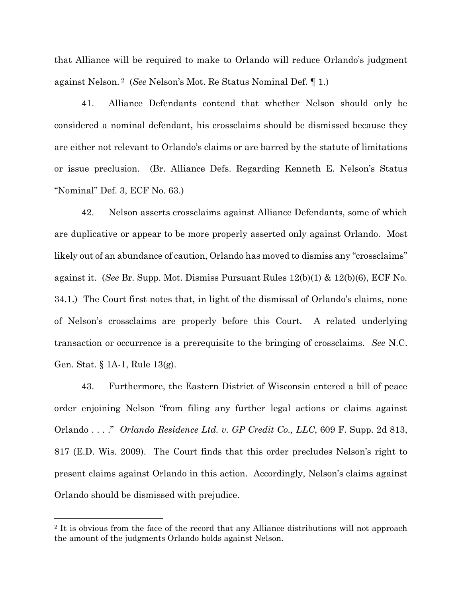that Alliance will be required to make to Orlando will reduce Orlando's judgment against Nelson. <sup>2</sup> (*See* Nelson's Mot. Re Status Nominal Def. ¶ 1.)

41. Alliance Defendants contend that whether Nelson should only be considered a nominal defendant, his crossclaims should be dismissed because they are either not relevant to Orlando's claims or are barred by the statute of limitations or issue preclusion. (Br. Alliance Defs. Regarding Kenneth E. Nelson's Status "Nominal" Def. 3, ECF No. 63.)

42. Nelson asserts crossclaims against Alliance Defendants, some of which are duplicative or appear to be more properly asserted only against Orlando. Most likely out of an abundance of caution, Orlando has moved to dismiss any "crossclaims" against it. (*See* Br. Supp. Mot. Dismiss Pursuant Rules 12(b)(1) & 12(b)(6), ECF No. 34.1.) The Court first notes that, in light of the dismissal of Orlando's claims, none of Nelson's crossclaims are properly before this Court. A related underlying transaction or occurrence is a prerequisite to the bringing of crossclaims. *See* N.C. Gen. Stat. § 1A-1, Rule 13(g).

43. Furthermore, the Eastern District of Wisconsin entered a bill of peace order enjoining Nelson "from filing any further legal actions or claims against Orlando . . . ." *Orlando Residence Ltd. v. GP Credit Co., LLC*, 609 F. Supp. 2d 813, 817 (E.D. Wis. 2009). The Court finds that this order precludes Nelson's right to present claims against Orlando in this action. Accordingly, Nelson's claims against Orlando should be dismissed with prejudice.

 $\overline{a}$ 

<sup>&</sup>lt;sup>2</sup> It is obvious from the face of the record that any Alliance distributions will not approach the amount of the judgments Orlando holds against Nelson.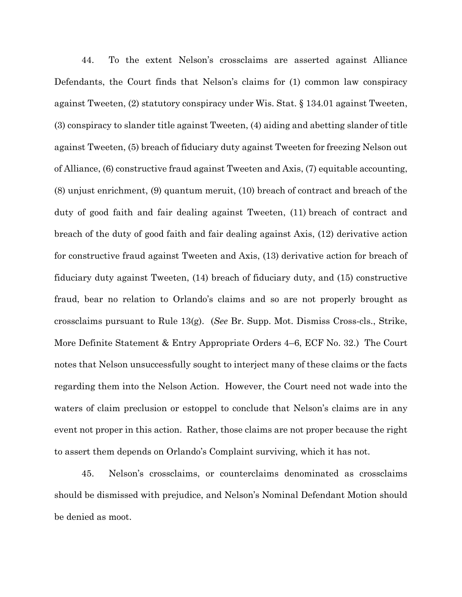44. To the extent Nelson's crossclaims are asserted against Alliance Defendants, the Court finds that Nelson's claims for (1) common law conspiracy against Tweeten, (2) statutory conspiracy under Wis. Stat. § 134.01 against Tweeten, (3) conspiracy to slander title against Tweeten, (4) aiding and abetting slander of title against Tweeten, (5) breach of fiduciary duty against Tweeten for freezing Nelson out of Alliance, (6) constructive fraud against Tweeten and Axis, (7) equitable accounting, (8) unjust enrichment, (9) quantum meruit, (10) breach of contract and breach of the duty of good faith and fair dealing against Tweeten, (11) breach of contract and breach of the duty of good faith and fair dealing against Axis, (12) derivative action for constructive fraud against Tweeten and Axis, (13) derivative action for breach of fiduciary duty against Tweeten, (14) breach of fiduciary duty, and (15) constructive fraud, bear no relation to Orlando's claims and so are not properly brought as crossclaims pursuant to Rule 13(g). (*See* Br. Supp. Mot. Dismiss Cross-cls., Strike, More Definite Statement & Entry Appropriate Orders 4–6, ECF No. 32.) The Court notes that Nelson unsuccessfully sought to interject many of these claims or the facts regarding them into the Nelson Action. However, the Court need not wade into the waters of claim preclusion or estoppel to conclude that Nelson's claims are in any event not proper in this action. Rather, those claims are not proper because the right to assert them depends on Orlando's Complaint surviving, which it has not.

45. Nelson's crossclaims, or counterclaims denominated as crossclaims should be dismissed with prejudice, and Nelson's Nominal Defendant Motion should be denied as moot.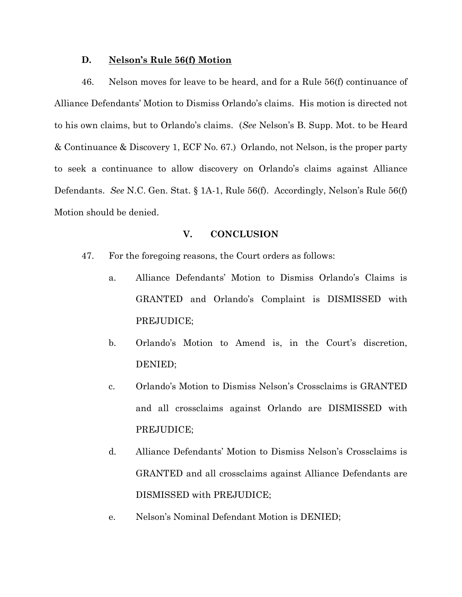### **D. Nelson's Rule 56(f) Motion**

46. Nelson moves for leave to be heard, and for a Rule 56(f) continuance of Alliance Defendants' Motion to Dismiss Orlando's claims. His motion is directed not to his own claims, but to Orlando's claims. (*See* Nelson's B. Supp. Mot. to be Heard & Continuance & Discovery 1, ECF No. 67.) Orlando, not Nelson, is the proper party to seek a continuance to allow discovery on Orlando's claims against Alliance Defendants. *See* N.C. Gen. Stat. § 1A-1, Rule 56(f). Accordingly, Nelson's Rule 56(f) Motion should be denied.

# **V. CONCLUSION**

- 47. For the foregoing reasons, the Court orders as follows:
	- a. Alliance Defendants' Motion to Dismiss Orlando's Claims is GRANTED and Orlando's Complaint is DISMISSED with PREJUDICE;
	- b. Orlando's Motion to Amend is, in the Court's discretion, DENIED;
	- c. Orlando's Motion to Dismiss Nelson's Crossclaims is GRANTED and all crossclaims against Orlando are DISMISSED with PREJUDICE;
	- d. Alliance Defendants' Motion to Dismiss Nelson's Crossclaims is GRANTED and all crossclaims against Alliance Defendants are DISMISSED with PREJUDICE;
	- e. Nelson's Nominal Defendant Motion is DENIED;